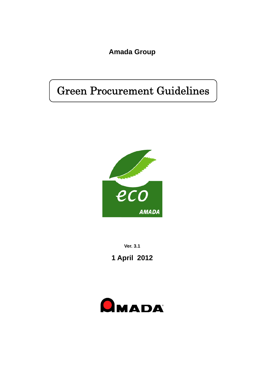**Amada Group** 

# Green Procurement Guidelines



**Ver. 3.1** 

**1 April 2012** 

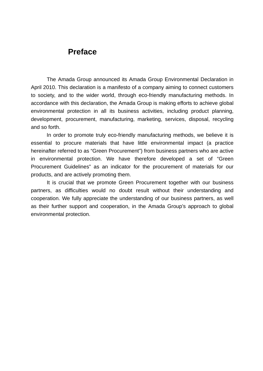# **Preface**

The Amada Group announced its Amada Group Environmental Declaration in April 2010. This declaration is a manifesto of a company aiming to connect customers to society, and to the wider world, through eco-friendly manufacturing methods. In accordance with this declaration, the Amada Group is making efforts to achieve global environmental protection in all its business activities, including product planning, development, procurement, manufacturing, marketing, services, disposal, recycling and so forth.

In order to promote truly eco-friendly manufacturing methods, we believe it is essential to procure materials that have little environmental impact (a practice hereinafter referred to as "Green Procurement") from business partners who are active in environmental protection. We have therefore developed a set of "Green Procurement Guidelines" as an indicator for the procurement of materials for our products, and are actively promoting them.

It is crucial that we promote Green Procurement together with our business partners, as difficulties would no doubt result without their understanding and cooperation. We fully appreciate the understanding of our business partners, as well as their further support and cooperation, in the Amada Group's approach to global environmental protection.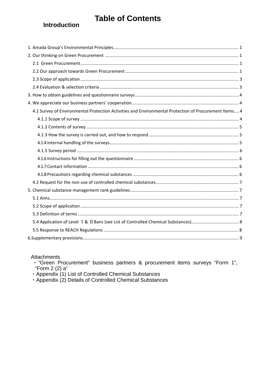# **Table of Contents**

## **Introduction**

| 4.1 Survey of Environmental Protection Activities and Environmental Protection of Procurement Items 4 |
|-------------------------------------------------------------------------------------------------------|
|                                                                                                       |
|                                                                                                       |
|                                                                                                       |
|                                                                                                       |
|                                                                                                       |
|                                                                                                       |
|                                                                                                       |
|                                                                                                       |
|                                                                                                       |
|                                                                                                       |
|                                                                                                       |
|                                                                                                       |
|                                                                                                       |
|                                                                                                       |
|                                                                                                       |
|                                                                                                       |

Attachments

"Form 2 (2) a"

Appendix (1) List of Controlled Chemical Substances<br>• Appendix (2) Details of Controlled Chemical Substances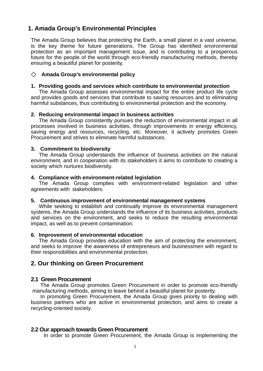### <span id="page-3-0"></span>**1. Amada Group's Environmental Principles**

The Amada Group believes that protecting the Earth, a small planet in a vast universe, is the key theme for future generations. The Group has identified environmental protection as an important management issue, and is contributing to a prosperous future for the people of the world through eco-friendly manufacturing methods, thereby ensuring a beautiful planet for posterity.

#### ◇ **Amada Group's environmental policy**

#### **1. Providing goods and services which contribute to environmental protection**

The Amada Group assesses environmental impact for the entire product life cycle and provides goods and services that contribute to saving resources and to eliminating harmful substances, thus contributing to environmental protection and the economy.

#### **2. Reducing environmental impact in business activities**

The Amada Group consistently pursues the reduction of environmental impact in all processes involved in business activities, through improvements in energy efficiency, saving energy and resources, recycling, etc. Moreover, it actively promotes Green Procurement and strives to eliminate harmful substances.

#### **3. Commitment to biodiversity**

The Amada Group understands the influence of business activities on the natural environment, and in cooperation with its stakeholders it aims to contribute to creating a society which nurtures biodiversity.

#### **4. Compliance with environment-related legislation**

The Amada Group complies with environment-related legislation and other agreements with stakeholders**.** 

#### **5. Continuous improvement of environmental management systems**

While seeking to establish and continually improve its environmental management systems, the Amada Group understands the influence of its business activities, products and services on the environment, and seeks to reduce the resulting environmental impact, as well as to prevent contamination.

#### **6. Improvement of environmental education**

The Amada Group provides education with the aim of protecting the environment, and seeks to improve the awareness of entrepreneurs and businessmen with regard to their responsibilities and environmental protection.

#### **2. Our thinking on Green Procurement**

#### **2.1 Green Procurement**

The Amada Group promotes Green Procurement in order to promote eco-friendly manufacturing methods, aiming to leave behind a beautiful planet for posterity.

In promoting Green Procurement, the Amada Group gives priority to dealing with business partners who are active in environmental protection, and aims to create a recycling-oriented society.

#### **2.2 Our approach towards Green Procurement**

In order to promote Green Procurement, the Amada Group is implementing the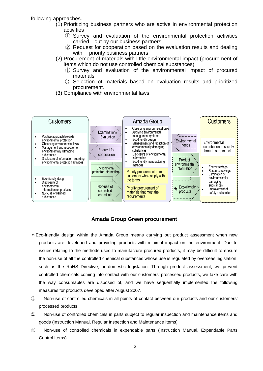following approaches.

- (1) Prioritizing business partners who are active in environmental protection activities
	- ① Survey and evaluation of the environmental protection activities carried out by our business partners
	- ② Request for cooperation based on the evaluation results and dealing with priority business partners
- (2) Procurement of materials with little environmental impact (procurement of items which do not use controlled chemical substances)
	- ① Survey and evaluation of the environmental impact of procured materials
	- ② Selection of materials based on evaluation results and prioritized procurement.
- (3) Compliance with environmental laws



#### **Amada Group Green procurement**

- \*Eco-friendly design within the Amada Group means carrying out product assessment when new products are developed and providing products with minimal impact on the environment. Due to issues relating to the methods used to manufacture procured products, it may be difficult to ensure the non-use of all the controlled chemical substances whose use is regulated by overseas legislation, such as the RoHS Directive, or domestic legislation. Through product assessment, we prevent controlled chemicals coming into contact with our customers' processed products, we take care with the way consumables are disposed of, and we have sequentially implemented the following measures for products developed after August 2007.
- ① Non-use of controlled chemicals in all points of contact between our products and our customers' processed products
- ② Non-use of controlled chemicals in parts subject to regular inspection and maintenance items and goods (Instruction Manual, Regular Inspection and Maintenance Items)
- ③ Non-use of controlled chemicals in expendable parts (Instruction Manual, Expendable Parts Control Items)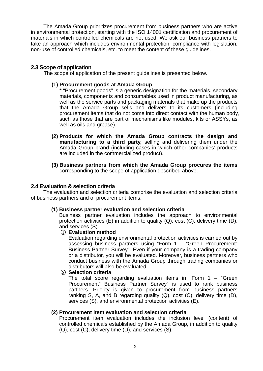<span id="page-5-0"></span>The Amada Group prioritizes procurement from business partners who are active in environmental protection, starting with the ISO 14001 certification and procurement of materials in which controlled chemicals are not used. We ask our business partners to take an approach which includes environmental protection, compliance with legislation, non-use of controlled chemicals, etc. to meet the content of these guidelines.

#### **2.3 Scope of application**

The scope of application of the present guidelines is presented below.

#### **(1) Procurement goods at Amada Group**

\* "Procurement goods" is a generic designation for the materials, secondary materials, components and consumables used in product manufacturing, as well as the service parts and packaging materials that make up the products that the Amada Group sells and delivers to its customers (including procurement items that do not come into direct contact with the human body, such as those that are part of mechanisms like modules, kits or ASSYs, as well as oils and grease).

- **(2) Products for which the Amada Group contracts the design and manufacturing to a third party,** selling and delivering them under the Amada Group brand (including cases in which other companies' products are included in the commercialized product).
- **(3) Business partners from which the Amada Group procures the items** corresponding to the scope of application described above.

#### **2.4 Evaluation & selection criteria**

The evaluation and selection criteria comprise the evaluation and selection criteria of business partners and of procurement items.

#### **(1) Business partner evaluation and selection criteria**

Business partner evaluation includes the approach to environmental protection activities  $(E)$  in addition to quality  $(Q)$ , cost  $(C)$ , delivery time  $(D)$ , and services (S).

#### ① **Evaluation method**

Evaluation regarding environmental protection activities is carried out by assessing business partners using "Form 1 – "Green Procurement" Business Partner Survey". Even if your company is a trading company or a distributor, you will be evaluated. Moreover, business partners who conduct business with the Amada Group through trading companies or distributors will also be evaluated.

#### ② **Selection criteria**

The total score regarding evaluation items in "Form  $1 -$  "Green Procurement" Business Partner Survey" is used to rank business partners. Priority is given to procurement from business partners ranking S, A, and B regarding quality (Q), cost (C), delivery time (D), services (S), and environmental protection activities (E).

#### **(2) Procurement item evaluation and selection criteria**

Procurement item evaluation includes the inclusion level (content) of controlled chemicals established by the Amada Group, in addition to quality (Q), cost (C), delivery time (D), and services (S).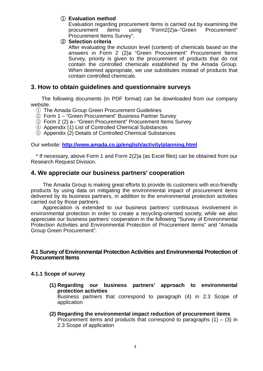#### <span id="page-6-0"></span>① **Evaluation method**

Evaluation regarding procurement items is carried out by examining the procurement items using "Form2(2)a–"Green Procurement" Procurement Items Survey".

#### ② **Selection criteria**

After evaluating the inclusion level (content) of chemicals based on the answers in Form 2 (2)a "Green Procurement" Procurement Items Survey, priority is given to the procurement of products that do not contain the controlled chemicals established by the Amada Group. When deemed appropriate, we use substitutes instead of products that contain controlled chemicals.

#### **3. How to obtain guidelines and questionnaire surveys**

The following documents (in PDF format) can be downloaded from our company website.

- ① The Amada Group Green Procurement Guidelines
- ② Form 1 "Green Procurement" Business Partner Survey
- ③ Form 2 (2) a– "Green Procurement" Procurement Items Survey
- ④ Appendix (1) List of Controlled Chemical Substances
- ⑤ Appendix (2) Details of Controlled Chemical Substances

Our website: **<http://www.amada.co.jp/english/activity/planning.html>**

\* If necessary, above Form 1 and Form 2(2)a (as Excel files) can be obtained from our Research Request Division.

#### **4. We appreciate our business partners' cooperation**

The Amada Group is making great efforts to provide its customers with eco-friendly products by using data on mitigating the environmental impact of procurement items delivered by its business partners, in addition to the environmental protection activities carried out by those partners.

Appreciation is extended to our business partners' continuous involvement in environmental protection in order to create a recycling-oriented society, while we also appreciate our business partners' cooperation in the following "Survey of Environmental Protection Activities and Environmental Protection of Procurement Items" and "Amada Group Green Procurement".

#### **4.1 Survey of Environmental Protection Activities and Environmental Protection of Procurement Items**

#### **4.1.1 Scope of survey**

- **(1) Regarding our business partners' approach to environmental protection activities**  Business partners that correspond to paragraph (4) in 2.3 Scope of application
- **(2) Regarding the environmental impact reduction of procurement items**  Procurement items and products that correspond to paragraphs  $(1) - (3)$  in 2.3 Scope of application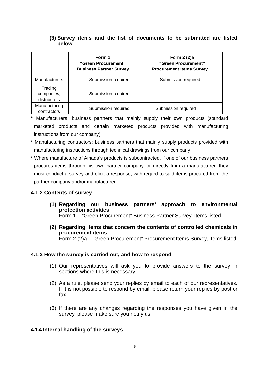#### <span id="page-7-0"></span>**(3) Survey items and the list of documents to be submitted are listed below.**

|                                       | Form 1<br>"Green Procurement"<br><b>Business Partner Survey</b> | Form 2 (2)a<br>"Green Procurement"<br><b>Procurement Items Survey</b> |
|---------------------------------------|-----------------------------------------------------------------|-----------------------------------------------------------------------|
| <b>Manufacturers</b>                  | Submission required                                             | Submission required                                                   |
| Trading<br>companies,<br>distributors | Submission required                                             |                                                                       |
| Manufacturing<br>contractors          | Submission required                                             | Submission required                                                   |

**\*** Manufacturers: business partners that mainly supply their own products (standard marketed products and certain marketed products provided with manufacturing instructions from our company)

- \* Manufacturing contractors: business partners that mainly supply products provided with manufacturing instructions through technical drawings from our company
- \* Where manufacture of Amada's products is subcontracted, if one of our business partners procures items through his own partner company, or directly from a manufacturer, they must conduct a survey and elicit a response, with regard to said items procured from the partner company and/or manufacturer.

#### **4.1.2 Contents of survey**

**(1) Regarding our business partners' approach to environmental protection activities** 

Form 1 – "Green Procurement" Business Partner Survey, Items listed

**(2) Regarding items that concern the contents of controlled chemicals in procurement items**  Form 2 (2)a – "Green Procurement" Procurement Items Survey, Items listed

#### **4.1.3 How the survey is carried out, and how to respond**

- (1) Our representatives will ask you to provide answers to the survey in sections where this is necessary.
- (2) As a rule, please send your replies by email to each of our representatives. If it is not possible to respond by email, please return your replies by post or fax.
- (3) If there are any changes regarding the responses you have given in the survey, please make sure you notify us.

#### **4.1.4 Internal handling of the surveys**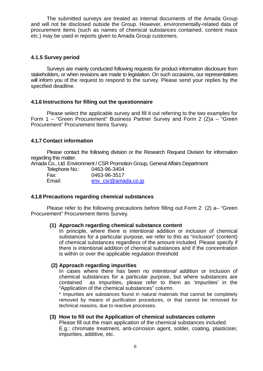<span id="page-8-0"></span>The submitted surveys are treated as internal documents of the Amada Group and will not be disclosed outside the Group. However, environmentally-related data of procurement items (such as names of chemical substances contained, content mass etc.) may be used in reports given to Amada Group customers.

#### **4.1.5 Survey period**

Surveys are mainly conducted following requests for product information disclosure from stakeholders, or when revisions are made to legislation. On such occasions, our representatives will inform you of the request to respond to the survey. Please send your replies by the specified deadline.

#### **4.1.6 Instructions for filling out the questionnaire**

Please select the applicable survey and fill it out referring to the two examples for Form 1 – "Green Procurement" Business Partner Survey and Form 2 (2)a – "Green Procurement" Procurement Items Survey.

#### **4.1.7 Contact information**

Please contact the following division or the Research Request Division for information regarding this matter.

Amada Co., Ltd. Environment / CSR Promotion Group, General Affairs Department

| Telephone No.: | 0463-96-3404        |
|----------------|---------------------|
| Fax:           | 0463-96-3517        |
| Email:         | env csr@amada.co.jp |

#### **4.1.8 Precautions regarding chemical substances**

Please refer to the following precautions before filling out Form 2 (2) a– "Green Procurement" Procurement Items Survey.

#### **(1) Approach regarding chemical substance content**

In principle, where there is intentional addition or inclusion of chemical substances for a particular purpose, we refer to this as "inclusion" (content) of chemical substances regardless of the amount included. Please specify if there is intentional addition of chemical substances and if the concentration is within or over the applicable regulation threshold

#### **(2) Approach regarding impurities**

In cases where there has been no *intentional* addition or inclusion of chemical substances for a particular purpose, but where substances are contained as impurities, please refer to them as 'impurities' in the "Application of the chemical substances" column.

\* Impurities are substances found in natural materials that cannot be completely removed by means of purification procedures, or that cannot be removed for technical reasons, due to reactive processes.

#### **(3) How to fill out the Application of chemical substances column**

Please fill out the main application of the chemical substances included. E.g.: chromate treatment, anti-corrosion agent, solder, coating, plasticiser, impurities, additive, etc.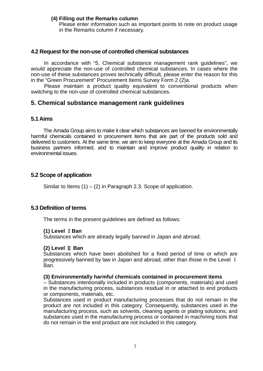#### <span id="page-9-0"></span>**(4) Filling out the Remarks column**

Please enter information such as important points to note on product usage in the Remarks column if necessary.

#### **4.2 Request for the non-use of controlled chemical substances**

In accordance with "5. Chemical substance management rank guidelines", we would appreciate the non-use of controlled chemical substances. In cases where the non-use of these substances proves technically difficult, please enter the reason for this in the "Green Procurement" Procurement Items Survey Form 2 (2)a.

Please maintain a product quality equivalent to conventional products when switching to the non-use of controlled chemical substances.

#### **5. Chemical substance management rank guidelines**

#### **5.1 Aims**

The Amada Group aims to make it clear which substances are banned for environmentally harmful chemicals contained in procurement items that are part of the products sold and delivered to customers. At the same time, we aim to keep everyone at the Amada Group and its business partners informed, and to maintain and improve product quality in relation to environmental issues.

#### **5.2 Scope of application**

Similar to Items  $(1) - (2)$  in Paragraph 2.3. Scope of application.

#### **5.3 Definition of terms**

The terms in the present guidelines are defined as follows:

#### **(1) Level** Ⅰ**Ban**

Substances which are already legally banned in Japan and abroad.

#### **(2) Level** Ⅱ **Ban**

Substances which have been abolished for a fixed period of time or which are progressively banned by law in Japan and abroad, other than those in the Level Ⅰ Ban.

#### **(3) Environmentally harmful chemicals contained in procurement items**

– Substances intentionally included in products (components, materials) and used in the manufacturing process, substances residual in or attached to end products or components, materials, etc.

Substances used in product manufacturing processes that do not remain in the product are not included in this category. Consequently, substances used in the manufacturing process, such as solvents, cleaning agents or plating solutions, and substances used in the manufacturing process or contained in machining tools that do not remain in the end product are not included in this category.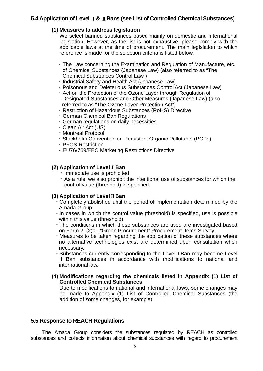#### <span id="page-10-0"></span>**5.4 Application of Level** Ⅰ**&** Ⅱ**Bans (see List of Controlled Chemical Substances)**

#### **(1) Measures to address legislation**

We select banned substances based mainly on domestic and international legislation. However, as the list is not exhaustive, please comply with the applicable laws at the time of procurement. The main legislation to which reference is made for the selection criteria is listed below.

- ・The Law concerning the Examination and Regulation of Manufacture, etc. of Chemical Substances (Japanese Law) (also referred to as "The Chemical Substances Control Law")
- ・Industrial Safety and Health Act (Japanese Law)
- ・Poisonous and Deleterious Substances Control Act (Japanese Law)
- ・Act on the Protection of the Ozone Layer through Regulation of Designated Substances and Other Measures (Japanese Law) (also referred to as "The Ozone Layer Protection Act")
- ・Restriction of Hazardous Substances (RoHS) Directive
- ・German Chemical Ban Regulations
- ・German regulations on daily necessities
- ・Clean Air Act (US)
- ・Montreal Protocol
- ・Stockholm Convention on Persistent Organic Pollutants (POPs)
- ・PFOS Restriction
- ・EU76/769/EEC Marketing Restrictions Directive

#### **(2) Application of Level**Ⅰ**Ban**

- ・Immediate use is prohibited
- ・As a rule, we also prohibit the intentional use of substances for which the control value (threshold) is specified.

#### **(3) Application of Level**Ⅱ**Ban**

- ・Completely abolished until the period of implementation determined by the Amada Group.
- ・In cases in which the control value (threshold) is specified, use is possible within this value (threshold).
- ・The conditions in which these substances are used are investigated based on Form 2 (2)a– "Green Procurement" Procurement Items Survey.
- ・Measures to be taken regarding the application of these substances where no alternative technologies exist are determined upon consultation when necessary.
- ・Substances currently corresponding to the LevelⅡBan may become Level Ⅰ Ban substances in accordance with modifications to national and international law.
- **(4) Modifications regarding the chemicals listed in Appendix (1) List of Controlled Chemical Substances**

Due to modifications to national and international laws, some changes may be made to Appendix (1) List of Controlled Chemical Substances (the addition of some changes, for example).

#### **5.5 Response to REACH Regulations**

The Amada Group considers the substances regulated by REACH as controlled substances and collects information about chemical substances with regard to procurement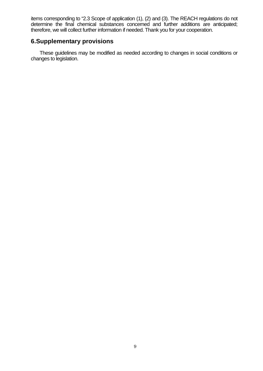<span id="page-11-0"></span>items corresponding to "2.3 Scope of application (1), (2) and (3). The REACH regulations do not determine the final chemical substances concerned and further additions are anticipated; therefore, we will collect further information if needed. Thank you for your cooperation.

#### **6.Supplementary provisions**

These guidelines may be modified as needed according to changes in social conditions or changes to legislation.